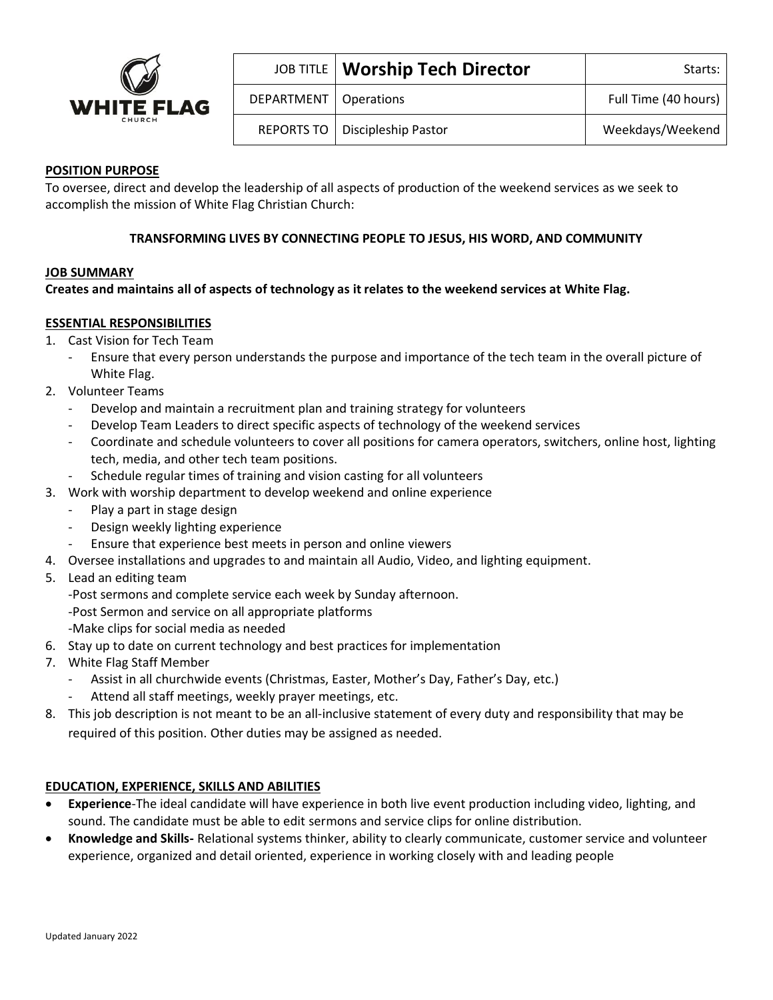

|                         | JOB TITLE   Worship Tech Director | Starts:              |
|-------------------------|-----------------------------------|----------------------|
| DEPARTMENT   Operations |                                   | Full Time (40 hours) |
|                         | REPORTS TO   Discipleship Pastor  | Weekdays/Weekend     |

### **POSITION PURPOSE**

To oversee, direct and develop the leadership of all aspects of production of the weekend services as we seek to accomplish the mission of White Flag Christian Church:

### **TRANSFORMING LIVES BY CONNECTING PEOPLE TO JESUS, HIS WORD, AND COMMUNITY**

#### **JOB SUMMARY**

#### **Creates and maintains all of aspects of technology as it relates to the weekend services at White Flag.**

#### **ESSENTIAL RESPONSIBILITIES**

- 1. Cast Vision for Tech Team
	- Ensure that every person understands the purpose and importance of the tech team in the overall picture of White Flag.
- 2. Volunteer Teams
	- Develop and maintain a recruitment plan and training strategy for volunteers
	- Develop Team Leaders to direct specific aspects of technology of the weekend services
	- Coordinate and schedule volunteers to cover all positions for camera operators, switchers, online host, lighting tech, media, and other tech team positions.
	- Schedule regular times of training and vision casting for all volunteers
- 3. Work with worship department to develop weekend and online experience
	- Play a part in stage design
	- Design weekly lighting experience
	- Ensure that experience best meets in person and online viewers
- 4. Oversee installations and upgrades to and maintain all Audio, Video, and lighting equipment.
- 5. Lead an editing team
	- -Post sermons and complete service each week by Sunday afternoon.
	- -Post Sermon and service on all appropriate platforms
	- -Make clips for social media as needed
- 6. Stay up to date on current technology and best practices for implementation
- 7. White Flag Staff Member
	- Assist in all churchwide events (Christmas, Easter, Mother's Day, Father's Day, etc.)
	- Attend all staff meetings, weekly prayer meetings, etc.
- 8. This job description is not meant to be an all-inclusive statement of every duty and responsibility that may be required of this position. Other duties may be assigned as needed.

#### **EDUCATION, EXPERIENCE, SKILLS AND ABILITIES**

- **Experience**-The ideal candidate will have experience in both live event production including video, lighting, and sound. The candidate must be able to edit sermons and service clips for online distribution.
- **Knowledge and Skills-** Relational systems thinker, ability to clearly communicate, customer service and volunteer experience, organized and detail oriented, experience in working closely with and leading people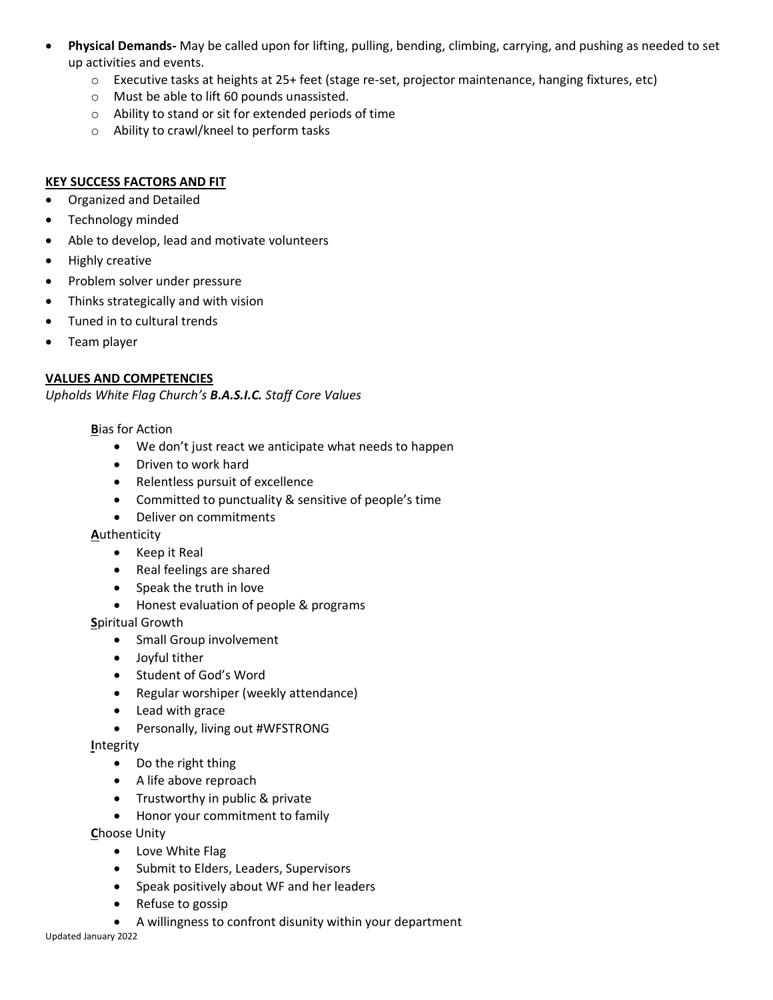- **Physical Demands-** May be called upon for lifting, pulling, bending, climbing, carrying, and pushing as needed to set up activities and events.
	- o Executive tasks at heights at 25+ feet (stage re-set, projector maintenance, hanging fixtures, etc)
	- o Must be able to lift 60 pounds unassisted.
	- o Ability to stand or sit for extended periods of time
	- o Ability to crawl/kneel to perform tasks

## **KEY SUCCESS FACTORS AND FIT**

- Organized and Detailed
- Technology minded
- Able to develop, lead and motivate volunteers
- Highly creative
- Problem solver under pressure
- Thinks strategically and with vision
- Tuned in to cultural trends
- Team player

# **VALUES AND COMPETENCIES**

*Upholds White Flag Church's B.A.S.I.C. Staff Core Values*

**B**ias for Action

- We don't just react we anticipate what needs to happen
- Driven to work hard
- Relentless pursuit of excellence
- Committed to punctuality & sensitive of people's time
- Deliver on commitments

**A**uthenticity

- Keep it Real
- Real feelings are shared
- Speak the truth in love
- Honest evaluation of people & programs

**S**piritual Growth

- Small Group involvement
- Joyful tither
- Student of God's Word
- Regular worshiper (weekly attendance)
- Lead with grace
- Personally, living out #WFSTRONG

**I**ntegrity

- Do the right thing
- A life above reproach
- Trustworthy in public & private
- Honor your commitment to family

**C**hoose Unity

- Love White Flag
- Submit to Elders, Leaders, Supervisors
- Speak positively about WF and her leaders
- Refuse to gossip
- A willingness to confront disunity within your department